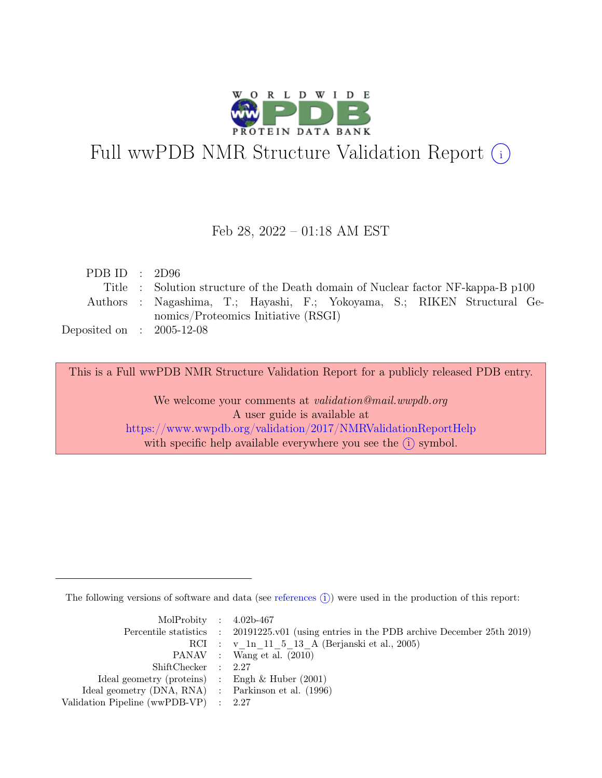

## Full wwPDB NMR Structure Validation Report (i)

#### Feb 28, 2022 – 01:18 AM EST

| PDB ID : $2D96$             |                                                                                  |
|-----------------------------|----------------------------------------------------------------------------------|
|                             | Title : Solution structure of the Death domain of Nuclear factor NF-kappa-B p100 |
|                             | Authors : Nagashima, T.; Hayashi, F.; Yokoyama, S.; RIKEN Structural Ge-         |
|                             | nomics/Proteomics Initiative (RSGI)                                              |
| Deposited on : $2005-12-08$ |                                                                                  |

This is a Full wwPDB NMR Structure Validation Report for a publicly released PDB entry.

We welcome your comments at *validation@mail.wwpdb.org* A user guide is available at <https://www.wwpdb.org/validation/2017/NMRValidationReportHelp> with specific help available everywhere you see the  $(i)$  symbol.

The following versions of software and data (see [references](https://www.wwpdb.org/validation/2017/NMRValidationReportHelp#references)  $\hat{I}$ ) were used in the production of this report:

| MolProbity : $4.02b-467$                            |                                                                                            |
|-----------------------------------------------------|--------------------------------------------------------------------------------------------|
|                                                     | Percentile statistics : 20191225.v01 (using entries in the PDB archive December 25th 2019) |
|                                                     | RCI : v 1n 11 5 13 A (Berjanski et al., 2005)                                              |
|                                                     | PANAV : Wang et al. (2010)                                                                 |
| ShiftChecker : 2.27                                 |                                                                                            |
| Ideal geometry (proteins) : Engh $\&$ Huber (2001)  |                                                                                            |
| Ideal geometry (DNA, RNA) : Parkinson et al. (1996) |                                                                                            |
| Validation Pipeline (wwPDB-VP) : 2.27               |                                                                                            |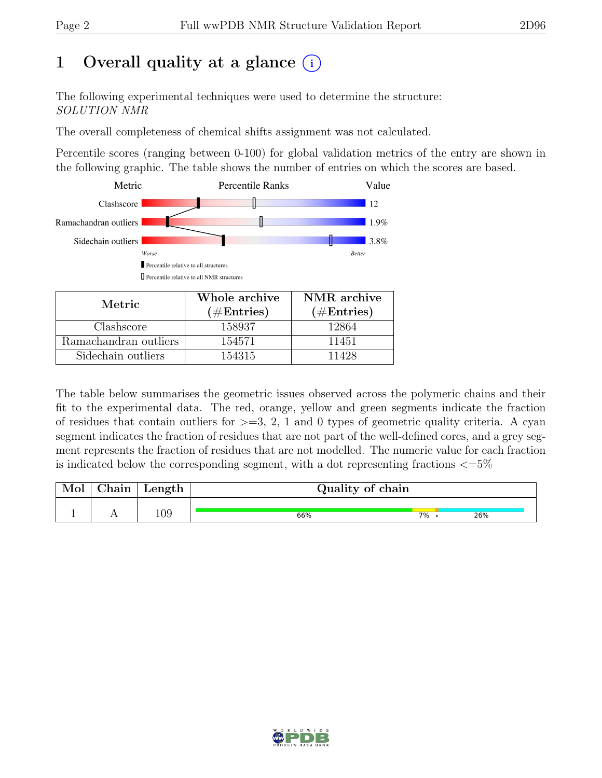## 1 Overall quality at a glance  $(i)$

The following experimental techniques were used to determine the structure: SOLUTION NMR

The overall completeness of chemical shifts assignment was not calculated.

Percentile scores (ranging between 0-100) for global validation metrics of the entry are shown in the following graphic. The table shows the number of entries on which the scores are based.



| Metric.               | Whole archive | NMR archive   |  |  |
|-----------------------|---------------|---------------|--|--|
|                       | $(\#Entries)$ | $(\#Entries)$ |  |  |
| Clashscore            | 158937        | 12864         |  |  |
| Ramachandran outliers | 154571        | 11451         |  |  |
| Sidechain outliers    | 154315        | 11428         |  |  |

The table below summarises the geometric issues observed across the polymeric chains and their fit to the experimental data. The red, orange, yellow and green segments indicate the fraction of residues that contain outliers for  $>=$  3, 2, 1 and 0 types of geometric quality criteria. A cyan segment indicates the fraction of residues that are not part of the well-defined cores, and a grey segment represents the fraction of residues that are not modelled. The numeric value for each fraction is indicated below the corresponding segment, with a dot representing fractions  $\langle=5\%$ 

| Mol | ${\rm Chain}$ | Length | Quality of chain |    |  |     |  |
|-----|---------------|--------|------------------|----|--|-----|--|
|     |               | 109    | 66%              | 7% |  | 26% |  |

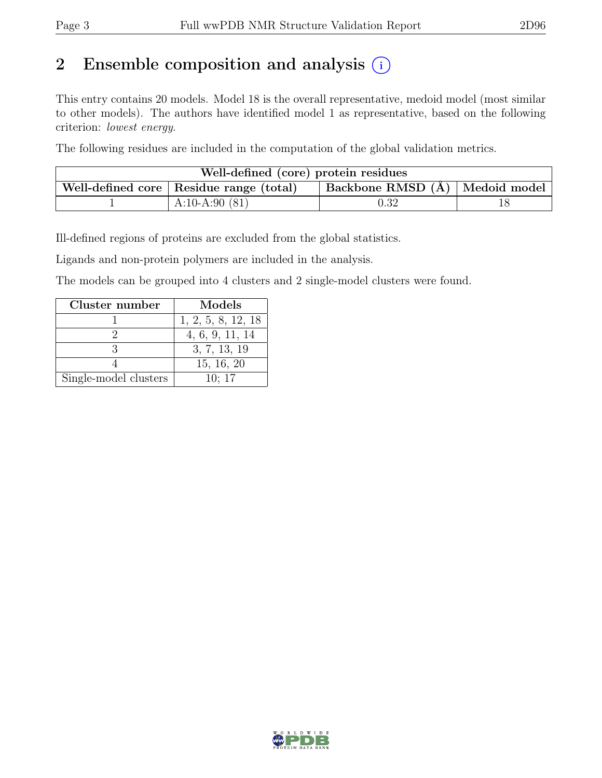## 2 Ensemble composition and analysis  $(i)$

This entry contains 20 models. Model 18 is the overall representative, medoid model (most similar to other models). The authors have identified model 1 as representative, based on the following criterion: lowest energy.

The following residues are included in the computation of the global validation metrics.

| Well-defined (core) protein residues                                                                   |                  |            |  |  |  |  |  |
|--------------------------------------------------------------------------------------------------------|------------------|------------|--|--|--|--|--|
| $\vert$ Backbone RMSD $\overline{A}$ $\vert$ Medoid model<br>Well-defined core   Residue range (total) |                  |            |  |  |  |  |  |
|                                                                                                        | A:10-A:90 $(81)$ | $\rm 0.32$ |  |  |  |  |  |

Ill-defined regions of proteins are excluded from the global statistics.

Ligands and non-protein polymers are included in the analysis.

The models can be grouped into 4 clusters and 2 single-model clusters were found.

| Cluster number        | Models             |
|-----------------------|--------------------|
|                       | 1, 2, 5, 8, 12, 18 |
|                       | 4, 6, 9, 11, 14    |
|                       | 3, 7, 13, 19       |
|                       | 15, 16, 20         |
| Single-model clusters | 10:17              |

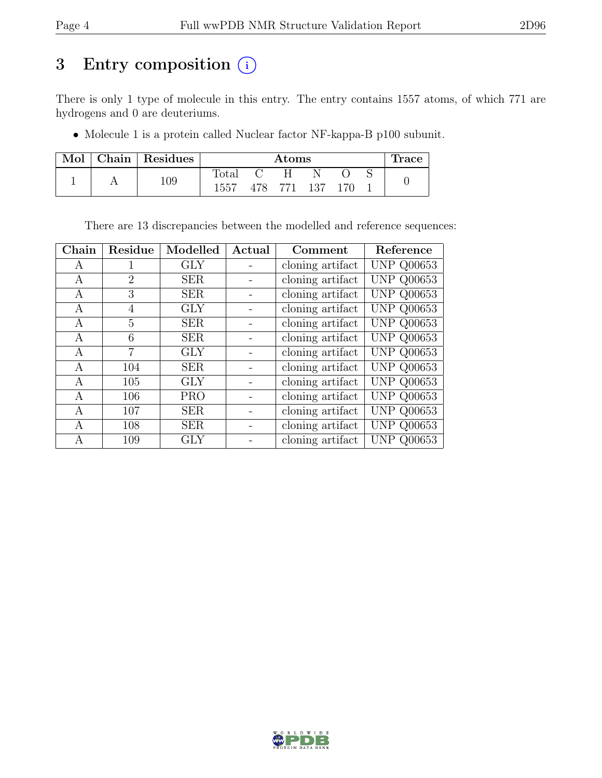## 3 Entry composition (i)

There is only 1 type of molecule in this entry. The entry contains 1557 atoms, of which 771 are hydrogens and 0 are deuteriums.

• Molecule 1 is a protein called Nuclear factor NF-kappa-B p100 subunit.

| Mol |     | Chain   Residues |                | $\rm{Atoms}$ |  |     |  |  | race |
|-----|-----|------------------|----------------|--------------|--|-----|--|--|------|
|     |     |                  | $_{\rm Total}$ |              |  |     |  |  |      |
|     | 109 | 1557             |                | 478 771 137  |  | 170 |  |  |      |

There are 13 discrepancies between the modelled and reference sequences:

| Chain | Residue | Modelled   | Actual | Comment          | Reference               |
|-------|---------|------------|--------|------------------|-------------------------|
| A     | 1       | <b>GLY</b> |        | cloning artifact | $\overline{U}NP$ Q00653 |
| А     | 2       | <b>SER</b> |        | cloning artifact | <b>UNP Q00653</b>       |
| A     | 3       | <b>SER</b> |        | cloning artifact | <b>UNP Q00653</b>       |
| A     | 4       | <b>GLY</b> |        | cloning artifact | <b>UNP Q00653</b>       |
| А     | 5       | <b>SER</b> |        | cloning artifact | <b>UNP Q00653</b>       |
| A     | 6       | <b>SER</b> |        | cloning artifact | <b>UNP Q00653</b>       |
| A     | 7       | <b>GLY</b> |        | cloning artifact | <b>UNP Q00653</b>       |
| А     | 104     | <b>SER</b> |        | cloning artifact | <b>UNP Q00653</b>       |
| A     | 105     | <b>GLY</b> |        | cloning artifact | <b>UNP Q00653</b>       |
| А     | 106     | <b>PRO</b> |        | cloning artifact | <b>UNP Q00653</b>       |
| А     | 107     | <b>SER</b> |        | cloning artifact | <b>UNP Q00653</b>       |
| А     | 108     | <b>SER</b> |        | cloning artifact | <b>UNP Q00653</b>       |
| А     | 109     | GLY        |        | cloning artifact | <b>UNP Q00653</b>       |

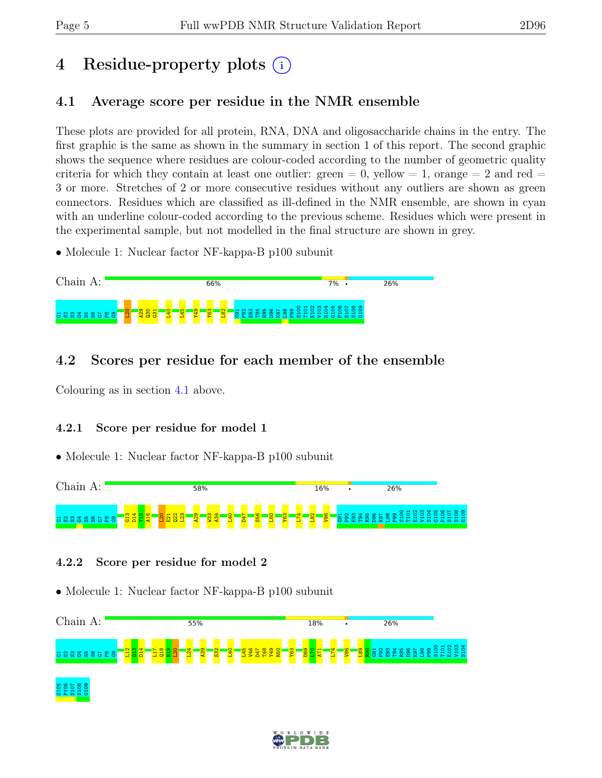## 4 Residue-property plots (i)

### <span id="page-4-0"></span>4.1 Average score per residue in the NMR ensemble

These plots are provided for all protein, RNA, DNA and oligosaccharide chains in the entry. The first graphic is the same as shown in the summary in section 1 of this report. The second graphic shows the sequence where residues are colour-coded according to the number of geometric quality criteria for which they contain at least one outlier:  $green = 0$ ,  $yellow = 1$ ,  $orange = 2$  and  $red =$ 3 or more. Stretches of 2 or more consecutive residues without any outliers are shown as green connectors. Residues which are classified as ill-defined in the NMR ensemble, are shown in cyan with an underline colour-coded according to the previous scheme. Residues which were present in the experimental sample, but not modelled in the final structure are shown in grey.

• Molecule 1: Nuclear factor NF-kappa-B p100 subunit



### 4.2 Scores per residue for each member of the ensemble

Colouring as in section [4.1](#page-4-0) above.

#### 4.2.1 Score per residue for model 1

• Molecule 1: Nuclear factor NF-kappa-B p100 subunit



#### 4.2.2 Score per residue for model 2



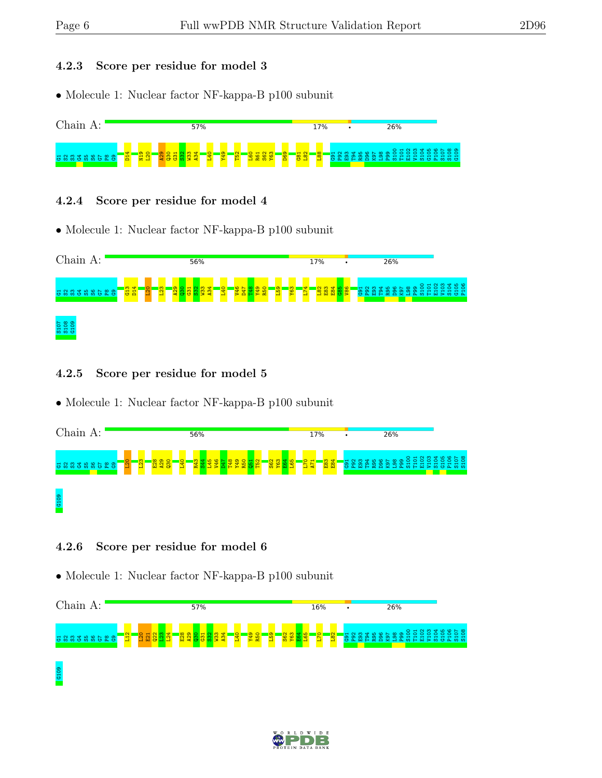#### 4.2.3 Score per residue for model 3

• Molecule 1: Nuclear factor NF-kappa-B p100 subunit



#### 4.2.4 Score per residue for model 4

• Molecule 1: Nuclear factor NF-kappa-B p100 subunit



#### 4.2.5 Score per residue for model 5

• Molecule 1: Nuclear factor NF-kappa-B p100 subunit



#### 4.2.6 Score per residue for model 6



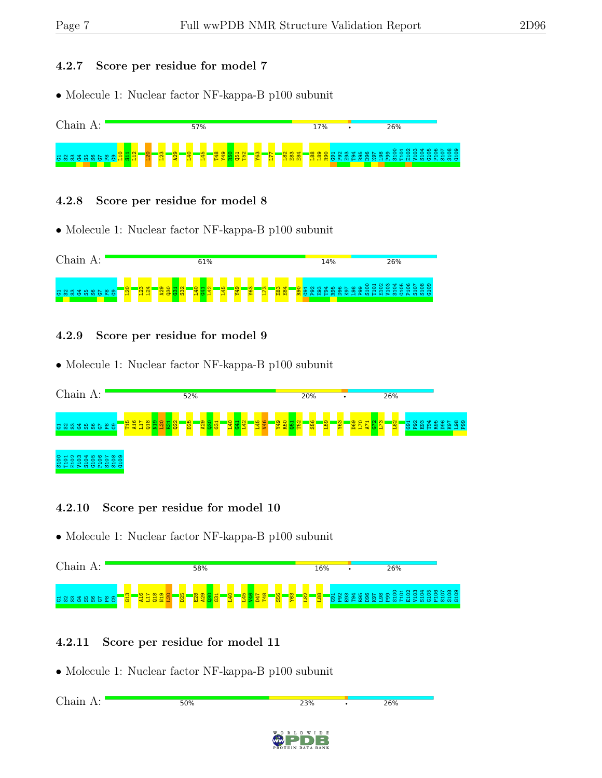#### 4.2.7 Score per residue for model 7

• Molecule 1: Nuclear factor NF-kappa-B p100 subunit



#### 4.2.8 Score per residue for model 8

• Molecule 1: Nuclear factor NF-kappa-B p100 subunit



#### 4.2.9 Score per residue for model 9

• Molecule 1: Nuclear factor NF-kappa-B p100 subunit



#### 4.2.10 Score per residue for model 10

• Molecule 1: Nuclear factor NF-kappa-B p100 subunit



#### 4.2.11 Score per residue for model 11

| Chain A: | 50% | 23%                            | ٠ | 26% |
|----------|-----|--------------------------------|---|-----|
|          |     |                                |   |     |
|          |     | WORLDWIDE<br>PROTEIN DATA BANK |   |     |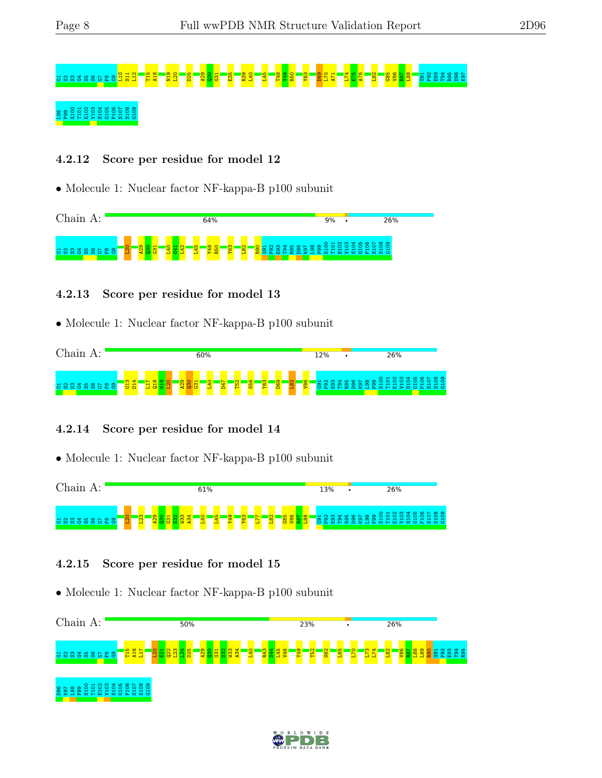# G1S2S3G4S5S6G7P8G9L10 S11 L12 T15 A16 N19 L20 D25 A29 Q30 G31 E35 R39 L40 L45 T48 Y49 R50 Y63 D69 L70 A71 L74 E75 A76 L82 G85 V86 R87 L88 G91 P92 E93 T94 R95 D96 K97 L98 P99 S100 T101 E102 V103 S104 G105 P106 S107 S108 G109

#### 4.2.12 Score per residue for model 12

• Molecule 1: Nuclear factor NF-kappa-B p100 subunit



#### 4.2.13 Score per residue for model 13

• Molecule 1: Nuclear factor NF-kappa-B p100 subunit



#### 4.2.14 Score per residue for model 14

• Molecule 1: Nuclear factor NF-kappa-B p100 subunit



#### 4.2.15 Score per residue for model 15



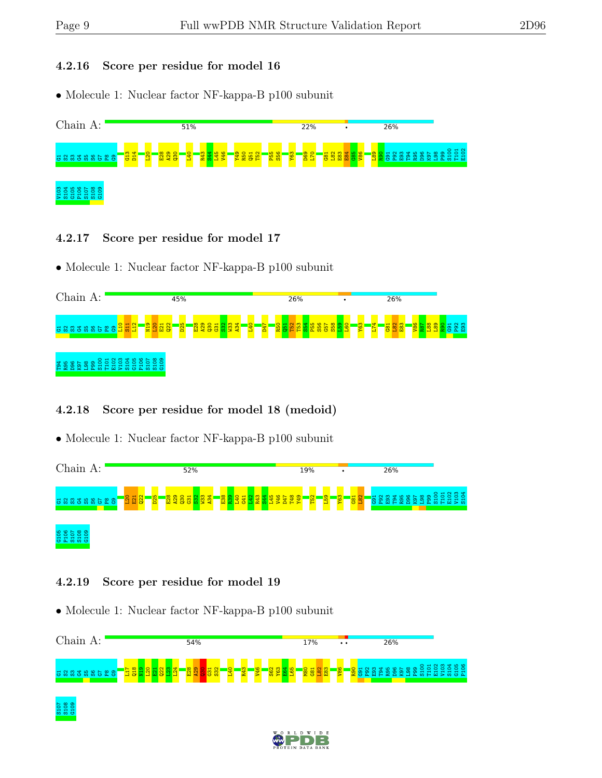#### 4.2.16 Score per residue for model 16

• Molecule 1: Nuclear factor NF-kappa-B p100 subunit



#### 4.2.17 Score per residue for model 17

• Molecule 1: Nuclear factor NF-kappa-B p100 subunit



#### 4.2.18 Score per residue for model 18 (medoid)

• Molecule 1: Nuclear factor NF-kappa-B p100 subunit



#### 4.2.19 Score per residue for model 19

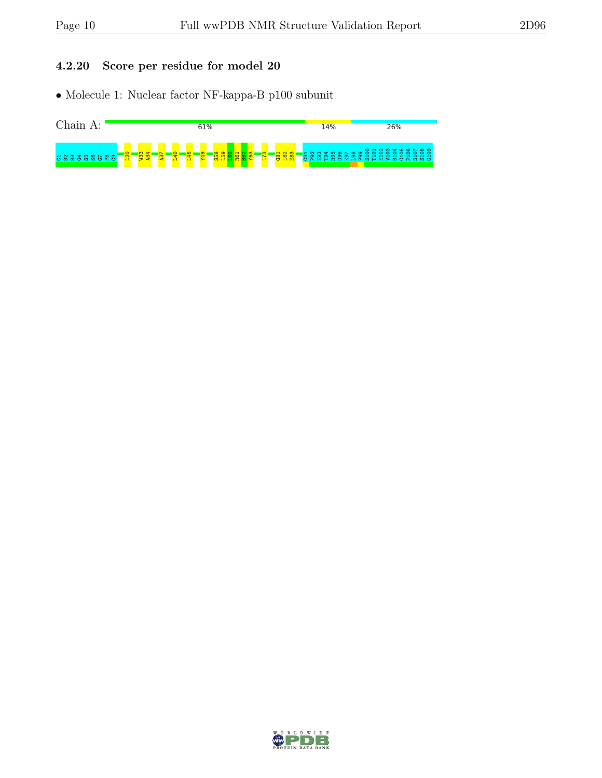#### 4.2.20 Score per residue for model 20



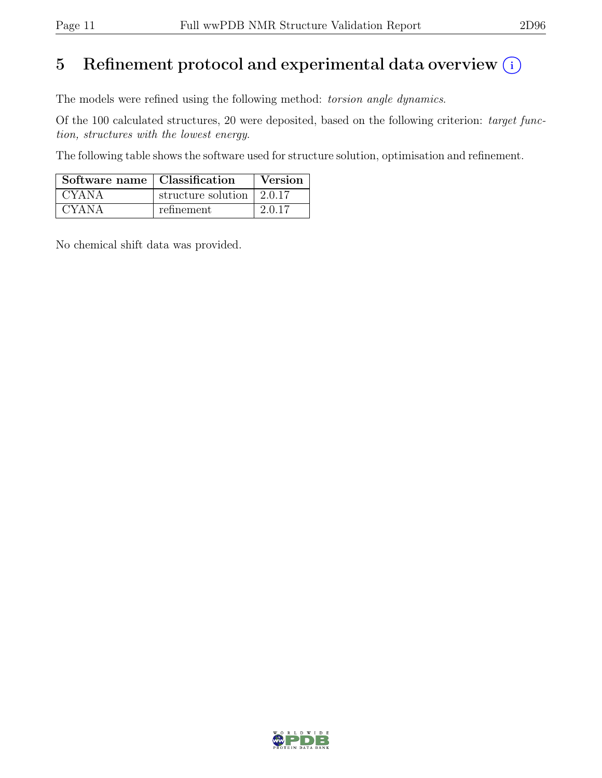## 5 Refinement protocol and experimental data overview  $(i)$

The models were refined using the following method: torsion angle dynamics.

Of the 100 calculated structures, 20 were deposited, based on the following criterion: target function, structures with the lowest energy.

The following table shows the software used for structure solution, optimisation and refinement.

| Software name   Classification |                                         | Version |
|--------------------------------|-----------------------------------------|---------|
| <b>CYANA</b>                   | structure solution $\vert 2.0.17 \vert$ |         |
| <b>CYANA</b>                   | refinement                              | 2.0.17  |

No chemical shift data was provided.

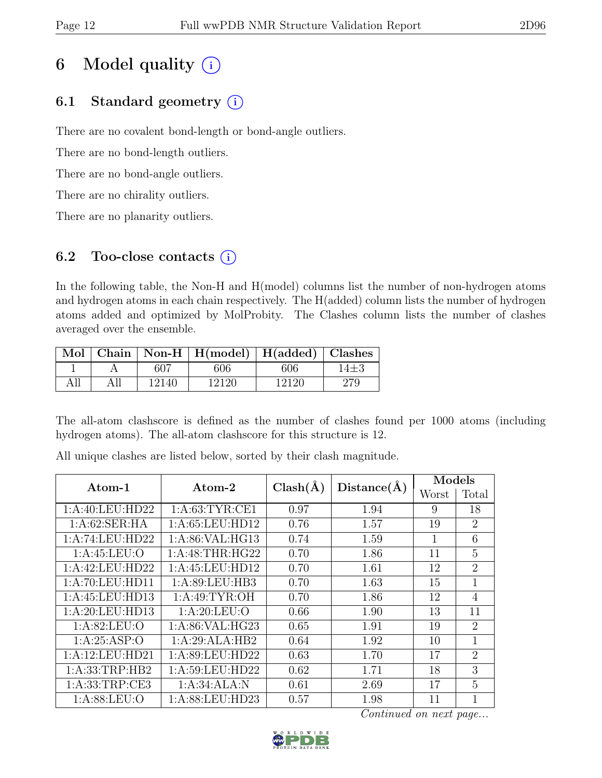## 6 Model quality  $(i)$

## 6.1 Standard geometry  $(i)$

There are no covalent bond-length or bond-angle outliers.

There are no bond-length outliers.

There are no bond-angle outliers.

There are no chirality outliers.

There are no planarity outliers.

### 6.2 Too-close contacts  $(i)$

In the following table, the Non-H and H(model) columns list the number of non-hydrogen atoms and hydrogen atoms in each chain respectively. The H(added) column lists the number of hydrogen atoms added and optimized by MolProbity. The Clashes column lists the number of clashes averaged over the ensemble.

|     |     |       | Mol   Chain   Non-H   H(model)   H(added)   Clashes |       |      |
|-----|-----|-------|-----------------------------------------------------|-------|------|
|     |     | 607   | 606                                                 | 606   | 14±3 |
| All | All | 12140 | 12120                                               | 12120 |      |

The all-atom clashscore is defined as the number of clashes found per 1000 atoms (including hydrogen atoms). The all-atom clashscore for this structure is 12.

| $\rm{Atom}\textrm{-}1$ | Atom-2             | $Clash(\AA)$ | Distance(A) | Models |                |
|------------------------|--------------------|--------------|-------------|--------|----------------|
|                        |                    |              |             | Worst  | Total          |
| 1:A:40:LEU:HD22        | 1: A:63:TYR:CE1    | 0.97         | 1.94        | 9      | 18             |
| 1: A:62:SER:HA         | 1: A:65:LEU:HD12   | 0.76         | 1.57        | 19     | $\overline{2}$ |
| 1:A:74:LEU:HD22        | 1: A:86: VAL: HG13 | 0.74         | 1.59        | 1      | 6              |
| 1: A:45:LEU:O          | 1: A:48:THR:HG22   | 0.70         | 1.86        | 11     | $\overline{5}$ |
| 1:A:42:LEU:HD22        | 1: A:45: LEU:HD12  | 0.70         | 1.61        | 12     | $\overline{2}$ |
| 1:A:70:LEU:HDI1        | 1: A:89: LEU:HB3   | 0.70         | 1.63        | 15     | 1              |
| 1:A:45:LEU:HD13        | 1: A:49: TYR:OH    | 0.70         | 1.86        | 12     | $\overline{4}$ |
| 1:A:20:LEU:HD13        | 1: A:20:LEU:O      | 0.66         | 1.90        | 13     | 11             |
| 1: A:82: LEU:O         | 1: A:86: VAL:HG23  | 0.65         | 1.91        | 19     | $\overline{2}$ |
| 1: A:25:ASP:O          | 1:A:29:ALA:HB2     | 0.64         | 1.92        | 10     | $\mathbf{1}$   |
| 1:A:12:LEU:HD21        | 1:A:89:LEU:HD22    | 0.63         | 1.70        | 17     | $\overline{2}$ |
| 1: A: 33: TRP: HB2     | 1:A:59:LEU:HD22    | 0.62         | 1.71        | 18     | 3              |
| 1: A: 33: TRP: CE3     | 1:A:34:ALA:N       | 0.61         | 2.69        | 17     | 5              |
| 1: A:88:LEU:O          | 1:A:88:LEU:HD23    | 0.57         | 1.98        | 11     | 1              |

All unique clashes are listed below, sorted by their clash magnitude.

Continued on next page...

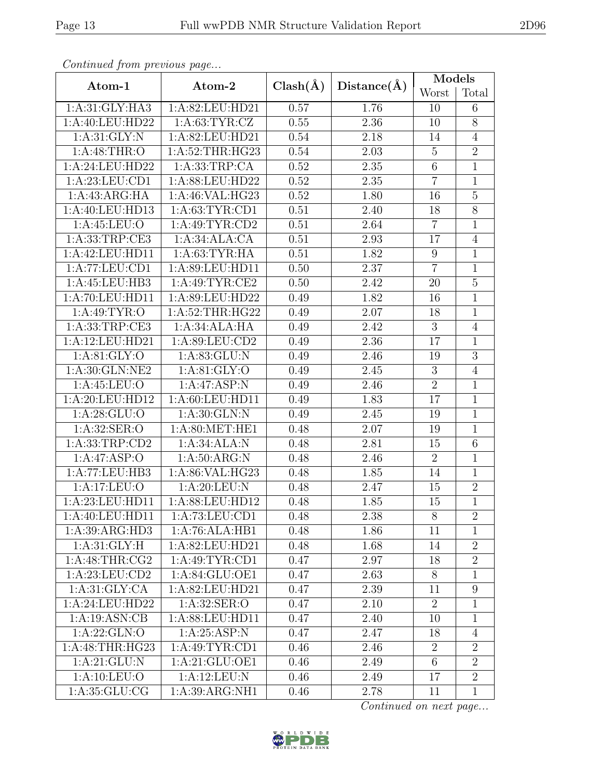| Continuea from previous page |                             |              |             | Models          |                |
|------------------------------|-----------------------------|--------------|-------------|-----------------|----------------|
| Atom-1                       | Atom-2                      | $Clash(\AA)$ | Distance(A) | Worst           | Total          |
| 1: A:31: GLY: HA3            | 1:A:82:LEU:HD21             | 0.57         | 1.76        | 10              | 6              |
| 1:A:40:LEU:HD22              | 1: A:63:TYR:CZ              | 0.55         | 2.36        | 10              | $\overline{8}$ |
| 1: A:31: GLY:N               | 1: A:82: LEU:HD21           | 0.54         | 2.18        | 14              | $\overline{4}$ |
| 1: A:48:THR:O                | 1:A:52:THR:HG23             | 0.54         | 2.03        | $\overline{5}$  | $\overline{2}$ |
| 1:A:24:LEU:HD22              | 1:A:33:TRP:CA               | 0.52         | 2.35        | $\,6\,$         | $\mathbf{1}$   |
| 1:A:23:LEU:CD1               | 1:A:88:LEU:HD22             | 0.52         | $2.35\,$    | $\overline{7}$  | $\overline{1}$ |
| 1:A:43:ARG:HA                | 1:A:46:VAL:HG23             | 0.52         | 1.80        | 16              | $\overline{5}$ |
| 1:A:40:LEU:HD13              | 1: A:63: TYR:CD1            | 0.51         | 2.40        | 18              | $\overline{8}$ |
| 1: A:45:LEU:O                | $1:A:\overline{49:TYR:CD2}$ | 0.51         | 2.64        | $\overline{7}$  | $\overline{1}$ |
| 1:A:33:TRP:CE3               | 1:A:34:ALA:CA               | 0.51         | 2.93        | 17              | $\overline{4}$ |
| 1:A:42:LEU:HD11              | 1: A:63:TYR:HA              | 0.51         | 1.82        | $9\phantom{.0}$ | $\overline{1}$ |
| 1:A:77:LEU:CD1               | 1: A:89: LEU: HD11          | 0.50         | 2.37        | $\overline{7}$  | $\mathbf{1}$   |
| 1:A:45:LEU:HB3               | 1: A:49: TYR: CE2           | 0.50         | 2.42        | 20              | $\overline{5}$ |
| 1:A:70:LEU:HD11              | 1:A:89:LEU:HD22             | 0.49         | 1.82        | 16              | $\mathbf{1}$   |
| 1: A:49: TYR:O               | 1: A:52:THR:HG22            | 0.49         | 2.07        | 18              | $\mathbf{1}$   |
| 1: A: 33: TRP: CE3           | 1:A:34:ALA:HA               | 0.49         | 2.42        | 3               | $\overline{4}$ |
| 1:A:12:LEU:HD21              | 1: A:89: LEU:CD2            | 0.49         | 2.36        | 17              | $\mathbf{1}$   |
| 1: A:81: GLY:O               | 1: A:83: GLU: N             | 0.49         | 2.46        | 19              | $\overline{3}$ |
| 1:A:30:GLN:NE2               | 1: A:81: GLY:O              | 0.49         | 2.45        | $\overline{3}$  | $\overline{4}$ |
| 1:A:45:LEU:O                 | 1:A:47:ASP:N                | 0.49         | 2.46        | $\sqrt{2}$      | $\mathbf{1}$   |
| $1:A:\overline{20:LEU:HD12}$ | 1:A:60:LEU:HD11             | 0.49         | 1.83        | 17              | $\overline{1}$ |
| 1: A:28: GLU:O               | 1:A:30:GLN:N                | 0.49         | 2.45        | 19              | $\mathbf{1}$   |
| 1: A:32: SER:O               | 1: A:80:MET:HE1             | 0.48         | 2.07        | 19              | $\overline{1}$ |
| 1: A: 33: TRP: CD2           | 1:A:34:ALA:N                | 0.48         | 2.81        | $15\,$          | $\overline{6}$ |
| 1:A:47:ASP:O                 | 1: A:50: ARG: N             | 0.48         | 2.46        | $\overline{2}$  | $\mathbf{1}$   |
| 1:A:77:LEU:HB3               | 1:A:86:VAL:HG23             | 0.48         | 1.85        | 14              | $\mathbf{1}$   |
| 1:A:17:LEU:O                 | 1:A:20:LEU:N                | 0.48         | 2.47        | 15              | $\overline{2}$ |
| 1:A:23:LEU:HD11              | 1:A:88:LEU:HD12             | 0.48         | 1.85        | $\overline{15}$ | $\overline{1}$ |
| 1:A:40:LEU:HD11              | 1:A:73:LEU:CD1              | 0.48         | 2.38        | 8               | $\overline{2}$ |
| 1:A:39:ARG:HD3               | 1:A:76:ALA:HB1              | 0.48         | 1.86        | 11              | 1              |
| 1: A:31: GLY: H              | 1:A:82:LEU:HD21             | 0.48         | 1.68        | 14              | $\overline{2}$ |
| 1: A:48:THR:CG2              | 1:A:49:TYR:CD1              | 0.47         | 2.97        | 18              | $\overline{2}$ |
| 1:A:23:LEU:CD2               | 1:A:84:GLU:OE1              | 0.47         | 2.63        | 8               | $\mathbf{1}$   |
| 1: A:31: GLY: CA             | 1:A:82:LEU:HD21             | 0.47         | 2.39        | 11              | 9              |
| 1:A:24:LEU:HD22              | 1: A:32: SER:O              | 0.47         | 2.10        | $\overline{2}$  | $\mathbf{1}$   |
| 1:A:19:ASN:CB                | 1:A:88:LEU:HD11             | 0.47         | 2.40        | 10              | $\mathbf{1}$   |
| 1: A:22: GLN:O               | 1:A:25:ASP:N                | 0.47         | 2.47        | 18              | $\overline{4}$ |
| $1:A:\overline{48:THR:HG23}$ | 1: A:49: TYR: CD1           | 0.46         | 2.46        | $\overline{2}$  | $\overline{2}$ |
| 1:A:21:GLU:N                 | 1:A:21:GLU:OE1              | 0.46         | 2.49        | $6\phantom{.}6$ | $\overline{2}$ |
| 1: A: 10: LEU: O             | 1:A:12:LEU:N                | 0.46         | 2.49        | 17              | $\overline{2}$ |
| 1: A:35: GLU:CG              | 1:A:39:ARG:NH1              | 0.46         | 2.78        | 11              | $\mathbf{1}$   |

Continued from previous page.

Continued on next page...

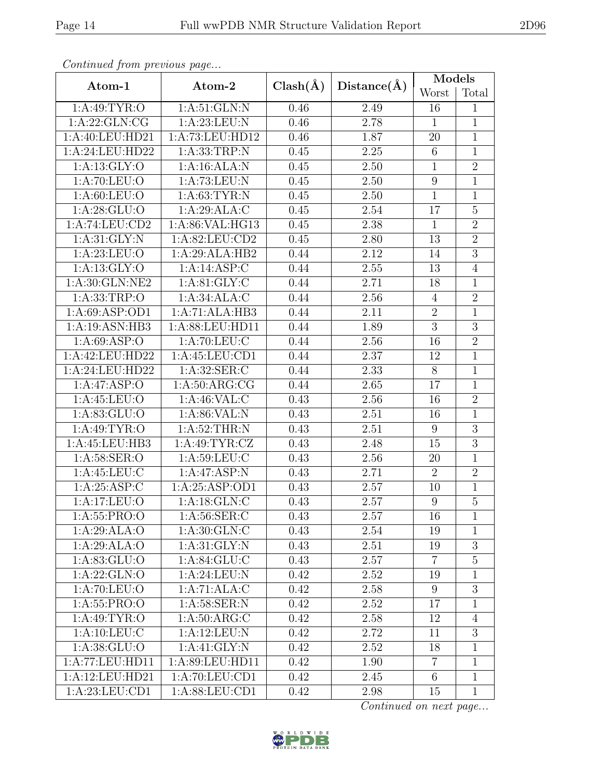| Continua from previous page |                    |              |                   | Models         |                  |
|-----------------------------|--------------------|--------------|-------------------|----------------|------------------|
| Atom-1                      | Atom-2             | $Clash(\AA)$ | Distance(A)       | Worst          | Total            |
| 1: A:49: TYR:O              | $1:$ A:51:GLN:N    |              | 2.49              | 16             | $\mathbf{1}$     |
| 1:A:22:GLN:CG               | 1:A:23:LEU:N       |              | 2.78              | $\mathbf{1}$   | $\mathbf{1}$     |
| 1:A:40:LEU:HD21             | 1:A:73:LEU:HD12    | 0.46         | 1.87              | 20             | $\mathbf{1}$     |
| 1:A:24:LEU:HD22             | 1: A: 33: TRP: N   | 0.45         | 2.25              | $6\,$          | $\mathbf{1}$     |
| 1: A: 13: GLY:O             | 1:A:16:ALA:N       | 0.45         | 2.50              | $\mathbf{1}$   | $\overline{2}$   |
| 1: A:70: LEU:O              | 1:A:73:LEU:N       | 0.45         | 2.50              | 9              | $\mathbf{1}$     |
| 1: A:60: LEU:O              | 1: A:63:TYR:N      | 0.45         | 2.50              | $\mathbf{1}$   | $\mathbf{1}$     |
| 1: A:28: GLU:O              | 1:A:29:ALA:C       | 0.45         | 2.54              | 17             | $\overline{5}$   |
| $1:A:\overline{74:LEU:CD2}$ | 1: A:86: VAL: HG13 | 0.45         | 2.38              | $\overline{1}$ | $\overline{2}$   |
| 1: A:31: GLY:N              | 1:A:82:LEU:CD2     | 0.45         | 2.80              | 13             | $\overline{2}$   |
| 1: A:23:LEU:O               | 1:A:29:ALA:HB2     | 0.44         | $\overline{2.12}$ | 14             | $\overline{3}$   |
| 1: A: 13: GLY: O            | 1:A:14:ASP:C       | 0.44         | 2.55              | 13             | $\overline{4}$   |
| 1:A:30:GLN:NE2              | 1: A:81: GLY: C    | 0.44         | 2.71              | 18             | $\mathbf{1}$     |
| 1:A:33:TRP:O                | 1: A:34: ALA: C    | 0.44         | $2.56\,$          | $\overline{4}$ | $\overline{2}$   |
| 1:A:69:ASP:OD1              | 1:A:71:ALA:HB3     | 0.44         | 2.11              | $\overline{2}$ | $\mathbf{1}$     |
| 1:A:19:ASN:HB3              | 1:A:88:LEU:HD11    | 0.44         | 1.89              | $\overline{3}$ | $\overline{3}$   |
| 1: A:69: ASP:O              | 1: A:70: LEU: C    | 0.44         | 2.56              | 16             | $\overline{2}$   |
| 1:A:42:LEU:HD22             | 1:A:45:LEU:CD1     | 0.44         | 2.37              | 12             | $\overline{1}$   |
| 1:A:24:LEU:HD22             | 1:A:32:SER:C       | 0.44         | 2.33              | 8              | $\overline{1}$   |
| 1:A:47:ASP:O                | 1: A:50: ARG:CG    | 0.44         | 2.65              | 17             | $\mathbf{1}$     |
| 1: A:45:LEU:O               | 1:A:46:VAL:CC      | 0.43         | 2.56              | 16             | $\overline{2}$   |
| 1: A:83: GLU:O              | 1: A:86: VAL: N    | 0.43         | 2.51              | 16             | $\mathbf{1}$     |
| 1: A:49: TYR:O              | 1: A:52:THR:N      | 0.43         | 2.51              | 9              | $\overline{3}$   |
| 1:A:45:LEU:HB3              | 1:A:49:TYR:CZ      | 0.43         | 2.48              | 15             | $\overline{3}$   |
| 1: A:58: SER:O              | $1:$ A:59:LEU:C    | 0.43         | 2.56              | 20             | $\mathbf{1}$     |
| 1: A:45:LEU:C               | 1:A:47:ASP:N       | 0.43         | 2.71              | $\overline{2}$ | $\overline{2}$   |
| 1:A:25:ASP:C                | 1: A:25: ASP:OD1   | 0.43         | 2.57              | 10             | $\mathbf{1}$     |
| 1:A:17:LEU:O                | 1: A:18: GLN: C    | 0.43         | 2.57              | $\overline{9}$ | $\overline{5}$   |
| 1: A:55: PRO:O              | 1: A:56: SER: C    | 0.43         | 2.57              | 16             | 1                |
| 1:A:29:ALA:O                | 1: A:30: GLN: C    | 0.43         | 2.54              | 19             | 1                |
| 1:A:29:ALA:O                | 1: A:31: GLY:N     | 0.43         | 2.51              | 19             | $\boldsymbol{3}$ |
| 1:A:83:GLU:O                | 1: A:84: GLU: C    | 0.43         | 2.57              | $\overline{7}$ | $\overline{5}$   |
| 1:A:22:GLN:O                | 1: A:24:LEU: N     | 0.42         | 2.52              | 19             | 1                |
| 1: A:70: LEU:O              | 1:A:71:ALA:C       | 0.42         | 2.58              | 9              | 3                |
| 1: A: 55: PRO: O            | 1:A:58:SER:N       | 0.42         | 2.52              | 17             | $\mathbf{1}$     |
| 1: A:49: TYR:O              | 1: A:50: ARG:C     | 0.42         | 2.58              | 12             | $\overline{4}$   |
| 1: A: 10: LEU: C            | 1:A:12:LEU:N       | 0.42         | 2.72              | 11             | 3                |
| 1:A:38:GLU:O                | 1:A:41:GLY:N       | 0.42         | 2.52              | 18             | 1                |
| 1:A:77:LEU:HD11             | 1:A:89:LEU:HD11    | 0.42         | 1.90              | $\overline{7}$ | 1                |
| 1:A:12:LEU:HD21             | 1:A:70:LEU:CD1     | 0.42         | 2.45              | 6              | $\mathbf{1}$     |
| 1:A:23:LEU:CD1              | 1:A:88:LEU:CD1     | 0.42         | 2.98              | 15             | $\mathbf{1}$     |

Continued from previous page.

Continued on next page...

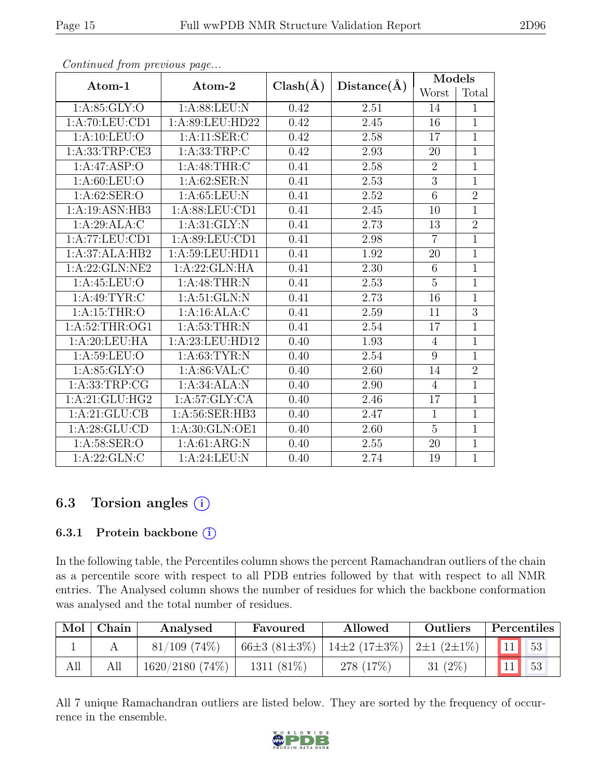| Atom-1            | Atom-2             | $Clash(\AA)$ | Distance(A) | Models           |                |
|-------------------|--------------------|--------------|-------------|------------------|----------------|
|                   |                    |              |             | Worst            | Total          |
| 1: A:85: GLY:O    | 1:A:88:LEU:N       | 0.42         | 2.51        | 14               | $\mathbf{1}$   |
| 1:A:70:LEU:CD1    | 1:A:89:LEU:HD22    | 0.42         | 2.45        | 16               | $\mathbf{1}$   |
| 1: A: 10: LEU: O  | 1:A:11:SER:C       | 0.42         | 2.58        | 17               | $\mathbf{1}$   |
| 1: A:33:TRP:CE3   | 1: A: 33: TRP: C   | 0.42         | 2.93        | 20               | $\overline{1}$ |
| 1:A:47:ASP:O      | 1: A:48:THR:C      | 0.41         | 2.58        | $\boldsymbol{2}$ | $\mathbf{1}$   |
| 1: A:60: LEU:O    | 1: A:62: SER: N    | 0.41         | 2.53        | $\overline{3}$   | $\mathbf{1}$   |
| 1: A:62: SER:O    | 1: A:65:LEU: N     | 0.41         | 2.52        | $\overline{6}$   | $\overline{2}$ |
| 1:A:19:ASN:HB3    | 1: A:88: LEU:CD1   | 0.41         | 2.45        | 10               | $\mathbf{1}$   |
| 1:A:29:ALA:C      | 1: A:31: GLY:N     | 0.41         | 2.73        | 13               | $\overline{2}$ |
| 1:A:77:LEU:CD1    | 1:A:89:LEU:CD1     | 0.41         | $2.98\,$    | $\overline{7}$   | $\mathbf{1}$   |
| 1:A:37:ALA:HB2    | 1: A:59: LEU: HD11 | 0.41         | 1.92        | 20               | $\mathbf{1}$   |
| 1:A:22:GLN:NE2    | 1: A:22: GLN: HA   | 0.41         | 2.30        | 6                | $\overline{1}$ |
| 1: A:45:LEU:O     | 1:A:48:THR:N       | 0.41         | 2.53        | $\overline{5}$   | $\overline{1}$ |
| 1: A:49: TYR: C   | 1: A:51: GLN:N     | 0.41         | 2.73        | 16               | $\overline{1}$ |
| 1: A:15:THR:O     | 1:A:16:ALA:C       | 0.41         | 2.59        | 11               | $\overline{3}$ |
| 1: A:52:THR:OG1   | 1: A:53:THR:N      | 0.41         | 2.54        | 17               | $\overline{1}$ |
| 1:A:20:LEU:HA     | 1:A:23:LEU:HD12    | 0.40         | 1.93        | $\overline{4}$   | $\overline{1}$ |
| 1: A:59: LEU:O    | 1: A:63:TYR:N      | 0.40         | 2.54        | $\overline{9}$   | $\overline{1}$ |
| 1: A:85: GLY:O    | 1: A:86: VAL:C     | 0.40         | 2.60        | 14               | $\overline{2}$ |
| 1: A: 33: TRP: CG | 1:A:34:ALA:N       | 0.40         | 2.90        | $\overline{4}$   | $\overline{1}$ |
| 1:A:21:GLU:HG2    | 1: A:57: GLY: CA   | 0.40         | 2.46        | 17               | $\overline{1}$ |
| 1:A:21:GLU:CB     | 1:A:56:SER:HB3     | 0.40         | 2.47        | $\mathbf{1}$     | $\overline{1}$ |
| 1: A:28: GLU:CD   | 1: A:30: GLN:OE1   | 0.40         | 2.60        | $\overline{5}$   | $\mathbf{1}$   |
| 1: A:58: SER:O    | 1:A:61:ARG:N       | 0.40         | $2.55\,$    | 20               | $\overline{1}$ |
| 1:A:22:GLN:C      | 1:A:24:LEU:N       | 0.40         | 2.74        | 19               | $\mathbf{1}$   |

Continued from previous page...

## 6.3 Torsion angles  $(i)$

#### 6.3.1 Protein backbone (i)

In the following table, the Percentiles column shows the percent Ramachandran outliers of the chain as a percentile score with respect to all PDB entries followed by that with respect to all NMR entries. The Analysed column shows the number of residues for which the backbone conformation was analysed and the total number of residues.

| Mol | Chain | Favoured<br>Analysed |                           | Allowed            | Outliers                   | Percentiles |  |
|-----|-------|----------------------|---------------------------|--------------------|----------------------------|-------------|--|
|     |       | $81/109$ (74\%)      | 66 $\pm$ 3 (81 $\pm$ 3\%) | $14\pm2(17\pm3\%)$ | $2\pm1(2\pm1\%)$           |             |  |
| All | All   | $1620/2180(74\%)$    | 1311 $(81\%)$             | 278 (17\%)         | $(2\%)$<br>31 <sub>1</sub> | ۲0          |  |

All 7 unique Ramachandran outliers are listed below. They are sorted by the frequency of occurrence in the ensemble.

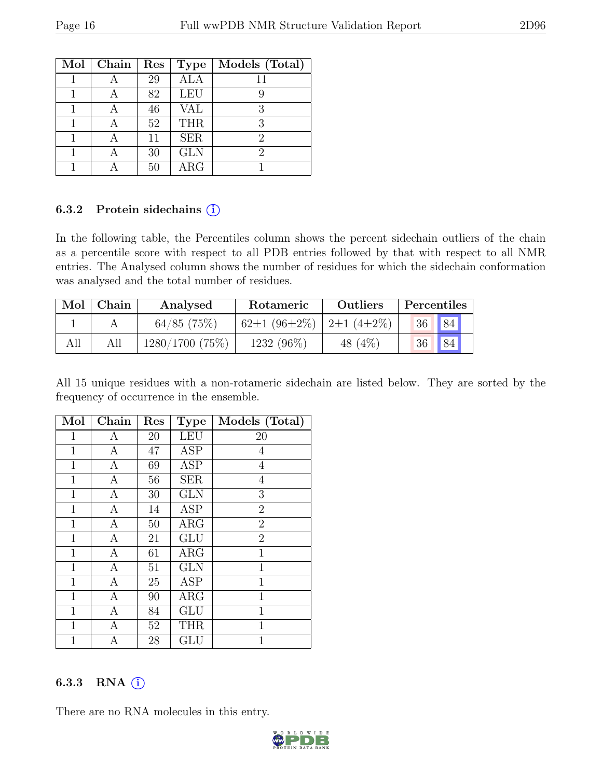| Mol | Chain | Res | <b>Type</b> | Models (Total) |
|-----|-------|-----|-------------|----------------|
|     |       | 29  | <b>ALA</b>  |                |
|     |       | 82  | <b>LEU</b>  |                |
|     |       | 46  | VAL         | 3              |
|     |       | 52  | <b>THR</b>  | 3              |
|     |       | 11  | <b>SER</b>  | 2              |
|     |       | 30  | <b>GLN</b>  | 2              |
|     |       | 50  | $\rm{ARG}$  |                |

#### 6.3.2 Protein sidechains  $(i)$

In the following table, the Percentiles column shows the percent sidechain outliers of the chain as a percentile score with respect to all PDB entries followed by that with respect to all NMR entries. The Analysed column shows the number of residues for which the sidechain conformation was analysed and the total number of residues.

| Mol | Chain | Analysed       | Rotameric                 | Outliers | Percentiles |            |  |
|-----|-------|----------------|---------------------------|----------|-------------|------------|--|
|     |       | $64/85$ (75%)  | 62±1 (96±2%)   2±1 (4±2%) |          | 36          | $\vert$ 84 |  |
| All |       | 1280/1700(75%) | $1232(96\%)$              | 48 (4\%) | 36          | 84         |  |

All 15 unique residues with a non-rotameric sidechain are listed below. They are sorted by the frequency of occurrence in the ensemble.

| Mol          | Chain            | Res | <b>Type</b> | Models (Total) |
|--------------|------------------|-----|-------------|----------------|
| $\mathbf{1}$ | A                | 20  | <b>LEU</b>  | 20             |
| $\mathbf{1}$ | A                | 47  | <b>ASP</b>  | 4              |
| $\mathbf{1}$ | $\boldsymbol{A}$ | 69  | <b>ASP</b>  | $\overline{4}$ |
| $\mathbf{1}$ | $\overline{A}$   | 56  | <b>SER</b>  | 4              |
| $\mathbf 1$  | A                | 30  | <b>GLN</b>  | 3              |
| $\mathbf{1}$ | A                | 14  | <b>ASP</b>  | $\overline{2}$ |
| $\mathbf{1}$ | A                | 50  | ARG         | $\overline{2}$ |
| $\mathbf{1}$ | $\mathbf{A}$     | 21  | GLU         | $\overline{2}$ |
| $\mathbf{1}$ | A                | 61  | ARG         | $\mathbf{1}$   |
| $\mathbf{1}$ | $\boldsymbol{A}$ | 51  | <b>GLN</b>  | $\overline{1}$ |
| $\mathbf{1}$ | A                | 25  | <b>ASP</b>  | 1              |
| $\mathbf{1}$ | A                | 90  | $\rm{ARG}$  | $\mathbf{1}$   |
| $\mathbf{1}$ | $\boldsymbol{A}$ | 84  | GLU         | $\mathbf{1}$   |
| $\mathbf{1}$ | A                | 52  | <b>THR</b>  | $\mathbf{1}$   |
| $\mathbf 1$  | А                | 28  | GLU         | $\mathbf{1}$   |

#### 6.3.3 RNA  $(i)$

There are no RNA molecules in this entry.

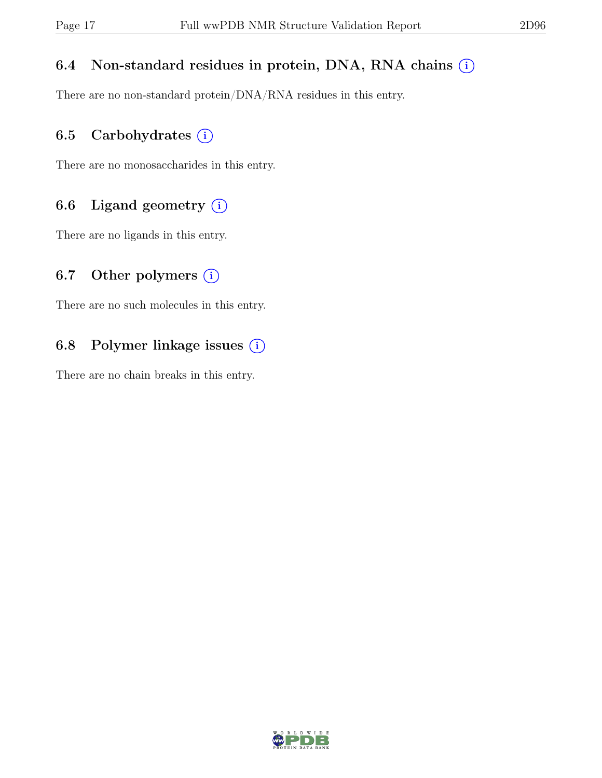### 6.4 Non-standard residues in protein, DNA, RNA chains  $(i)$

There are no non-standard protein/DNA/RNA residues in this entry.

### 6.5 Carbohydrates  $(i)$

There are no monosaccharides in this entry.

## 6.6 Ligand geometry  $(i)$

There are no ligands in this entry.

### 6.7 Other polymers  $(i)$

There are no such molecules in this entry.

## 6.8 Polymer linkage issues  $(i)$

There are no chain breaks in this entry.